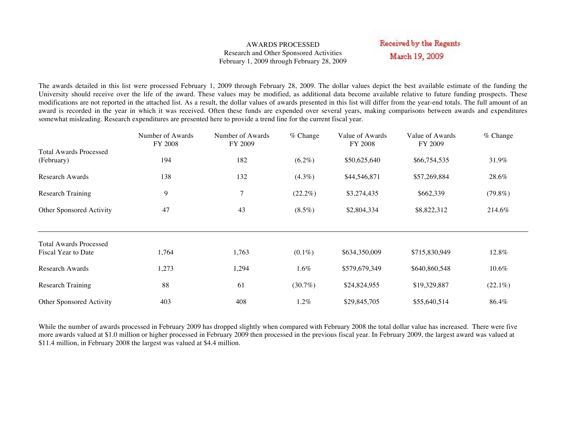#### AWARDS PROCESSED Research and Other Sponsored Activities February 1, 2009 through February 28, 2009

Received by the Regents March 19, 2009

The awards detailed in this list were processed February 1, 2009 through February 28, 2009. The dollar values depict the best available estimate of the funding the University should receive over the life of the award. These values may be modified, as additional data become available relative to future funding prospects. These modifications are not reported in the attached list. As a result, the dollar values of awards presented in this list will differ from the year-end totals. The full amount of an award is recorded in the year in which it was received. Often these funds are expended over several years, making comparisons between awards and expenditures somewhat misleading. Research expenditures are presented here to provide a trend line for the current fiscal year.

|                                             | Number of Awards<br><b>FY 2008</b> | Number of Awards<br>FY 2009 | $%$ Change | Value of Awards<br>FY 2008 | Value of Awards<br>FY 2009 | % Change   |
|---------------------------------------------|------------------------------------|-----------------------------|------------|----------------------------|----------------------------|------------|
| <b>Total Awards Processed</b><br>(February) | 194                                | 182                         | $(6.2\%)$  | \$50,625,640               | \$66,754,535               | 31.9%      |
| <b>Research Awards</b>                      | 138                                | 132                         | $(4.3\%)$  | \$44,546,871               | \$57,269,884               | 28.6%      |
| <b>Research Training</b>                    | 9                                  | 7                           | $(22.2\%)$ | \$3,274,435                | \$662,339                  | $(79.8\%)$ |
| Other Sponsored Activity                    | 47                                 | 43                          | $(8.5\%)$  | \$2,804,334                | \$8,822,312                | 214.6%     |
| <b>Total Awards Processed</b>               |                                    |                             |            |                            |                            |            |
| Fiscal Year to Date                         | 1,764                              | 1,763                       | $(0.1\%)$  | \$634,350,009              | \$715,830,949              | 12.8%      |
| <b>Research Awards</b>                      | 1,273                              | 1,294                       | $1.6\%$    | \$579,679,349              | \$640,860,548              | $10.6\%$   |
| <b>Research Training</b>                    | 88                                 | 61                          | $(30.7\%)$ | \$24,824,955               | \$19,329,887               | $(22.1\%)$ |
| Other Sponsored Activity                    | 403                                | 408                         | 1.2%       | \$29,845,705               | \$55,640,514               | 86.4%      |

While the number of awards processed in February 2009 has dropped slightly when compared with February 2008 the total dollar value has increased. There were five more awards valued at \$1.0 million or higher processed in February 2009 then processed in the previous fiscal year. In February 2009, the largest award was valued at \$11.4 million, in February 2008 the largest was valued at \$4.4 million.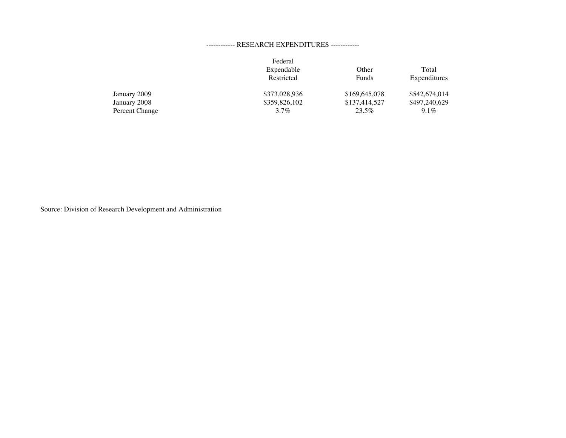#### ------------ RESEARCH EXPENDITURES ------------

|                | Federal       |               |               |
|----------------|---------------|---------------|---------------|
|                | Expendable    | Other         | Total         |
|                | Restricted    | Funds         | Expenditures  |
| January 2009   | \$373,028,936 | \$169,645,078 | \$542,674,014 |
| January 2008   | \$359,826,102 | \$137,414,527 | \$497,240,629 |
| Percent Change | $3.7\%$       | 23.5%         | $9.1\%$       |

Source: Division of Research Development and Administration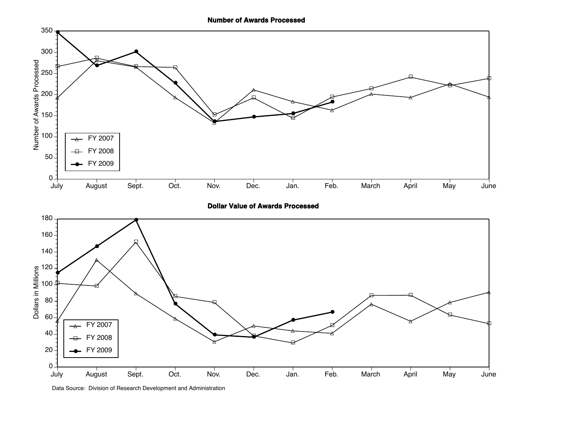**Number of Awards Processed**



**Dollar Value of Awards Processed**



Data Source: Division of Research Development and Administration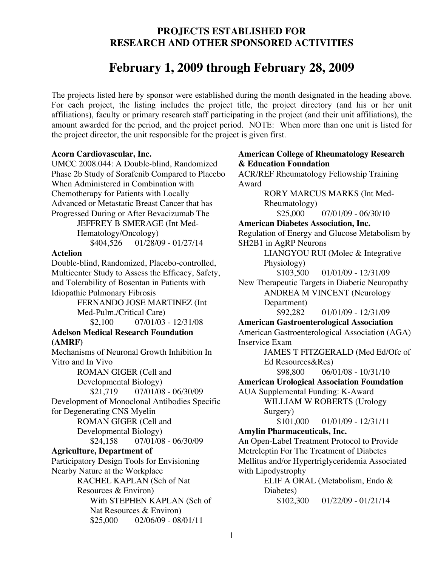## **PROJECTS ESTABLISHED FOR RESEARCH AND OTHER SPONSORED ACTIVITIES**

# **February 1, 2009 through February 28, 2009**

The projects listed here by sponsor were established during the month designated in the heading above. For each project, the listing includes the project title, the project directory (and his or her unit affiliations), faculty or primary research staff participating in the project (and their unit affiliations), the amount awarded for the period, and the project period. NOTE: When more than one unit is listed for the project director, the unit responsible for the project is given first.

#### **Acorn Cardiovascular, Inc.**

UMCC 2008.044: A Double-blind, Randomized Phase 2b Study of Sorafenib Compared to Placebo When Administered in Combination with Chemotherapy for Patients with Locally Advanced or Metastatic Breast Cancer that has Progressed During or After Bevacizumab The JEFFREY B SMERAGE (Int Med-Hematology/Oncology) \$404,526 01/28/09 - 01/27/14

#### **Actelion**

Double-blind, Randomized, Placebo-controlled, Multicenter Study to Assess the Efficacy, Safety, and Tolerability of Bosentan in Patients with Idiopathic Pulmonary Fibrosis

FERNANDO JOSE MARTINEZ (Int Med-Pulm./Critical Care) \$2,100 07/01/03 - 12/31/08 **Adelson Medical Research Foundation** 

## **(AMRF)**

Mechanisms of Neuronal Growth Inhibition In Vitro and In Vivo

> ROMAN GIGER (Cell and Developmental Biology) \$21,719 07/01/08 - 06/30/09

Development of Monoclonal Antibodies Specific for Degenerating CNS Myelin

ROMAN GIGER (Cell and Developmental Biology) \$24,158 07/01/08 - 06/30/09

## **Agriculture, Department of**

Participatory Design Tools for Envisioning Nearby Nature at the Workplace

RACHEL KAPLAN (Sch of Nat Resources & Environ) With STEPHEN KAPLAN (Sch of Nat Resources & Environ)  $$25,000$  02/06/09 - 08/01/11

## **American College of Rheumatology Research & Education Foundation**

ACR/REF Rheumatology Fellowship Training Award

RORY MARCUS MARKS (Int Med-Rheumatology)  $$25,000$  07/01/09 - 06/30/10 **American Diabetes Association, Inc.** Regulation of Energy and Glucose Metabolism by SH2B1 in AgRP Neurons LIANGYOU RUI (Molec & Integrative Physiology) \$103,500 01/01/09 - 12/31/09 New Therapeutic Targets in Diabetic Neuropathy ANDREA M VINCENT (Neurology Department) \$92,282 01/01/09 - 12/31/09 **American Gastroenterological Association** American Gastroenterological Association (AGA) Inservice Exam JAMES T FITZGERALD (Med Ed/Ofc of Ed Resources&Res) \$98,800 06/01/08 - 10/31/10 **American Urological Association Foundation** AUA Supplemental Funding: K-Award WILLIAM W ROBERTS (Urology Surgery) \$101,000 01/01/09 - 12/31/11 **Amylin Pharmaceuticals, Inc.** An Open-Label Treatment Protocol to Provide Metreleptin For The Treatment of Diabetes Mellitus and/or Hypertriglyceridemia Associated with Lipodystrophy ELIF A ORAL (Metabolism, Endo & Diabetes)  $$102,300$  01/22/09 - 01/21/14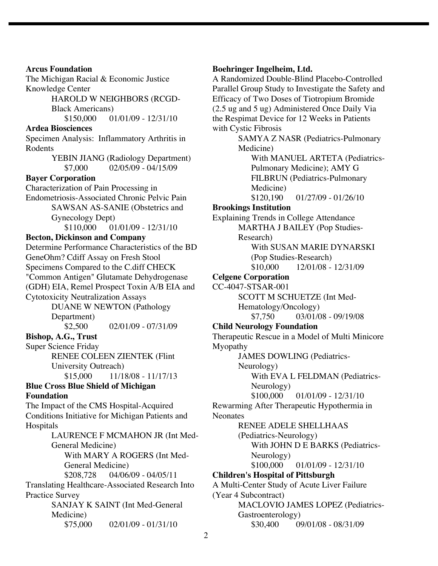**Arcus Foundation** The Michigan Racial & Economic Justice Knowledge Center HAROLD W NEIGHBORS (RCGD-Black Americans) \$150,000 01/01/09 - 12/31/10 **Ardea Biosciences** Specimen Analysis: Inflammatory Arthritis in Rodents YEBIN JIANG (Radiology Department) \$7,000 02/05/09 - 04/15/09 **Bayer Corporation** Characterization of Pain Processing in Endometriosis-Associated Chronic Pelvic Pain SAWSAN AS-SANIE (Obstetrics and Gynecology Dept) \$110,000 01/01/09 - 12/31/10 **Becton, Dickinson and Company** Determine Performance Characteristics of the BD GeneOhm? Cdiff Assay on Fresh Stool Specimens Compared to the C.diff CHECK "Common Antigen" Glutamate Dehydrogenase (GDH) EIA, Remel Prospect Toxin A/B EIA and Cytotoxicity Neutralization Assays DUANE W NEWTON (Pathology Department) \$2,500 02/01/09 - 07/31/09 **Bishop, A.G., Trust** Super Science Friday RENEE COLEEN ZIENTEK (Flint University Outreach) \$15,000 11/18/08 - 11/17/13 **Blue Cross Blue Shield of Michigan Foundation** The Impact of the CMS Hospital-Acquired Conditions Initiative for Michigan Patients and Hospitals LAURENCE F MCMAHON JR (Int Med-General Medicine) With MARY A ROGERS (Int Med-General Medicine) \$208,728 04/06/09 - 04/05/11 Translating Healthcare-Associated Research Into Practice Survey SANJAY K SAINT (Int Med-General Medicine)  $$75,000$  02/01/09 - 01/31/10

#### **Boehringer Ingelheim, Ltd.**

A Randomized Double-Blind Placebo-Controlled Parallel Group Study to Investigate the Safety and Efficacy of Two Doses of Tiotropium Bromide (2.5 ug and 5 ug) Administered Once Daily Via the Respimat Device for 12 Weeks in Patients with Cystic Fibrosis SAMYA Z NASR (Pediatrics-Pulmonary Medicine) With MANUEL ARTETA (Pediatrics-Pulmonary Medicine); AMY G FILBRUN (Pediatrics-Pulmonary Medicine)  $$120.190$  01/27/09 - 01/26/10 **Brookings Institution** Explaining Trends in College Attendance MARTHA J BAILEY (Pop Studies-Research) With SUSAN MARIE DYNARSKI (Pop Studies-Research) \$10,000 12/01/08 - 12/31/09 **Celgene Corporation** CC-4047-STSAR-001 SCOTT M SCHUETZE (Int Med-Hematology/Oncology) \$7,750 03/01/08 - 09/19/08 **Child Neurology Foundation** Therapeutic Rescue in a Model of Multi Minicore Myopathy JAMES DOWLING (Pediatrics-Neurology) With EVA L FELDMAN (Pediatrics-Neurology) \$100,000 01/01/09 - 12/31/10 Rewarming After Therapeutic Hypothermia in **Neonates** RENEE ADELE SHELLHAAS (Pediatrics-Neurology) With JOHN D E BARKS (Pediatrics-Neurology)  $$100,000$  01/01/09 - 12/31/10 **Children's Hospital of Pittsburgh** A Multi-Center Study of Acute Liver Failure (Year 4 Subcontract) MACLOVIO JAMES LOPEZ (Pediatrics-Gastroenterology) \$30,400 09/01/08 - 08/31/09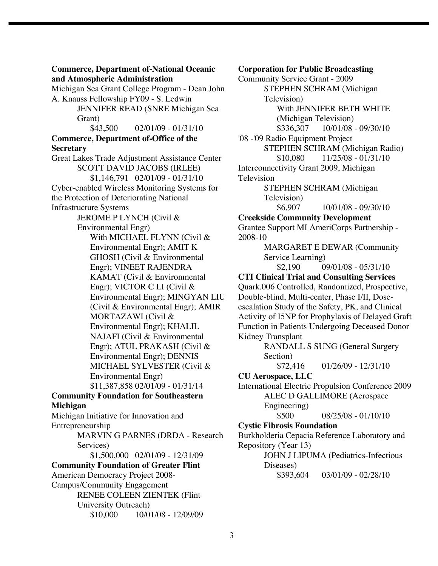**Commerce, Department of-National Oceanic and Atmospheric Administration**

Michigan Sea Grant College Program - Dean John A. Knauss Fellowship FY09 - S. Ledwin JENNIFER READ (SNRE Michigan Sea Grant)  $$43,500$  02/01/09 - 01/31/10 **Commerce, Department of-Office of the Secretary** Great Lakes Trade Adjustment Assistance Center SCOTT DAVID JACOBS (IRLEE) \$1,146,791 02/01/09 - 01/31/10 Cyber-enabled Wireless Monitoring Systems for the Protection of Deteriorating National Infrastructure Systems JEROME P LYNCH (Civil & Environmental Engr) With MICHAEL FLYNN (Civil & Environmental Engr); AMIT K GHOSH (Civil & Environmental Engr); VINEET RAJENDRA KAMAT (Civil & Environmental Engr); VICTOR C LI (Civil & Environmental Engr); MINGYAN LIU (Civil & Environmental Engr); AMIR MORTAZAWI (Civil & Environmental Engr); KHALIL NAJAFI (Civil & Environmental Engr); ATUL PRAKASH (Civil & Environmental Engr); DENNIS MICHAEL SYLVESTER (Civil & Environmental Engr) \$11,387,858 02/01/09 - 01/31/14 **Community Foundation for Southeastern Michigan** Michigan Initiative for Innovation and Entrepreneurship

MARVIN G PARNES (DRDA - Research Services)

\$1,500,000 02/01/09 - 12/31/09 **Community Foundation of Greater Flint** American Democracy Project 2008- Campus/Community Engagement RENEE COLEEN ZIENTEK (Flint University Outreach) \$10,000 10/01/08 - 12/09/09 **Corporation for Public Broadcasting**

Community Service Grant - 2009 STEPHEN SCHRAM (Michigan Television) With JENNIFER BETH WHITE (Michigan Television) \$336,307 10/01/08 - 09/30/10 '08 -'09 Radio Equipment Project STEPHEN SCHRAM (Michigan Radio)  $$10,080$  11/25/08 - 01/31/10 Interconnectivity Grant 2009, Michigan Television STEPHEN SCHRAM (Michigan Television) \$6,907 10/01/08 - 09/30/10 **Creekside Community Development** Grantee Support MI AmeriCorps Partnership - 2008-10 MARGARET E DEWAR (Community Service Learning)  $$2,190$  09/01/08 - 05/31/10 **CTI Clinical Trial and Consulting Services** Quark.006 Controlled, Randomized, Prospective, Double-blind, Multi-center, Phase I/II, Doseescalation Study of the Safety, PK, and Clinical Activity of I5NP for Prophylaxis of Delayed Graft

Function in Patients Undergoing Deceased Donor Kidney Transplant

RANDALL S SUNG (General Surgery Section)

\$72,416 01/26/09 - 12/31/10

#### **CU Aerospace, LLC**

International Electric Propulsion Conference 2009 ALEC D GALLIMORE (Aerospace Engineering) \$500 08/25/08 - 01/10/10

#### **Cystic Fibrosis Foundation**

Burkholderia Cepacia Reference Laboratory and Repository (Year 13)

> JOHN J LIPUMA (Pediatrics-Infectious Diseases)

\$393,604 03/01/09 - 02/28/10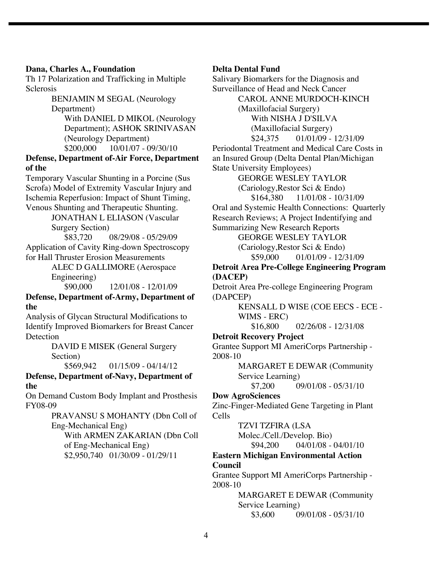#### **Dana, Charles A., Foundation**

Th 17 Polarization and Trafficking in Multiple **Sclerosis** 

> BENJAMIN M SEGAL (Neurology Department) With DANIEL D MIKOL (Neurology Department); ASHOK SRINIVASAN (Neurology Department) \$200,000 10/01/07 - 09/30/10

**Defense, Department of-Air Force, Department of the**

Temporary Vascular Shunting in a Porcine (Sus Scrofa) Model of Extremity Vascular Injury and Ischemia Reperfusion: Impact of Shunt Timing, Venous Shunting and Therapeutic Shunting.

JONATHAN L ELIASON (Vascular Surgery Section)<br>\$83,720 (

08/29/08 - 05/29/09

Application of Cavity Ring-down Spectroscopy for Hall Thruster Erosion Measurements

> ALEC D GALLIMORE (Aerospace Engineering) \$90,000 12/01/08 - 12/01/09

**Defense, Department of-Army, Department of the**

Analysis of Glycan Structural Modifications to Identify Improved Biomarkers for Breast Cancer Detection

> DAVID E MISEK (General Surgery Section)

 $$569.942$  01/15/09 - 04/14/12

#### **Defense, Department of-Navy, Department of the**

On Demand Custom Body Implant and Prosthesis FY08-09

> PRAVANSU S MOHANTY (Dbn Coll of Eng-Mechanical Eng)

With ARMEN ZAKARIAN (Dbn Coll of Eng-Mechanical Eng) \$2,950,740 01/30/09 - 01/29/11

#### **Delta Dental Fund**

Salivary Biomarkers for the Diagnosis and Surveillance of Head and Neck Cancer CAROL ANNE MURDOCH-KINCH (Maxillofacial Surgery) With NISHA J D'SILVA (Maxillofacial Surgery) \$24,375 01/01/09 - 12/31/09 Periodontal Treatment and Medical Care Costs in an Insured Group (Delta Dental Plan/Michigan State University Employees) GEORGE WESLEY TAYLOR (Cariology,Restor Sci & Endo) \$164,380 11/01/08 - 10/31/09 Oral and Systemic Health Connections: Quarterly Research Reviews; A Project Indentifying and Summarizing New Research Reports GEORGE WESLEY TAYLOR (Cariology,Restor Sci & Endo) \$59,000 01/01/09 - 12/31/09 **Detroit Area Pre-College Engineering Program (DACEP)** Detroit Area Pre-college Engineering Program (DAPCEP) KENSALL D WISE (COE EECS - ECE - WIMS - ERC) \$16,800 02/26/08 - 12/31/08 **Detroit Recovery Project** Grantee Support MI AmeriCorps Partnership - 2008-10 MARGARET E DEWAR (Community Service Learning)<br>\$7.200 0 09/01/08 - 05/31/10 **Dow AgroSciences** Zinc-Finger-Mediated Gene Targeting in Plant Cells TZVI TZFIRA (LSA Molec./Cell./Develop. Bio) \$94,200 04/01/08 - 04/01/10 **Eastern Michigan Environmental Action Council** Grantee Support MI AmeriCorps Partnership - 2008-10 MARGARET E DEWAR (Community

Service Learning)  $$3,600$  09/01/08 - 05/31/10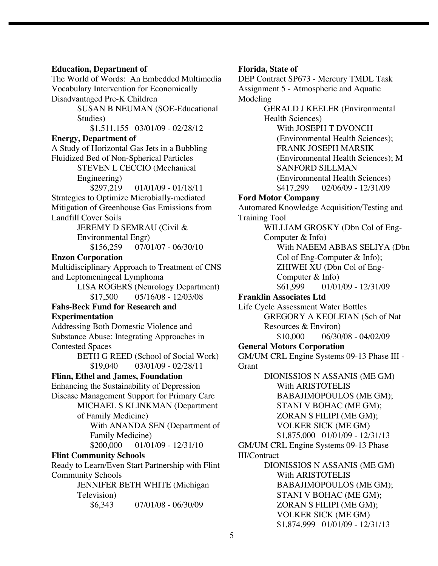#### **Education, Department of**

The World of Words: An Embedded Multimedia Vocabulary Intervention for Economically Disadvantaged Pre-K Children SUSAN B NEUMAN (SOE-Educational Studies) \$1,511,155 03/01/09 - 02/28/12 **Energy, Department of** A Study of Horizontal Gas Jets in a Bubbling Fluidized Bed of Non-Spherical Particles STEVEN L CECCIO (Mechanical Engineering) \$297,219 01/01/09 - 01/18/11 Strategies to Optimize Microbially-mediated Mitigation of Greenhouse Gas Emissions from Landfill Cover Soils JEREMY D SEMRAU (Civil & Environmental Engr) \$156,259 07/01/07 - 06/30/10 **Enzon Corporation** Multidisciplinary Approach to Treatment of CNS and Leptomeningeal Lymphoma LISA ROGERS (Neurology Department)  $$17,500$  05/16/08 - 12/03/08 **Fahs-Beck Fund for Research and Experimentation** Addressing Both Domestic Violence and Substance Abuse: Integrating Approaches in Contested Spaces BETH G REED (School of Social Work)  $$19,040$  03/01/09 - 02/28/11 **Flinn, Ethel and James, Foundation** Enhancing the Sustainability of Depression Disease Management Support for Primary Care MICHAEL S KLINKMAN (Department of Family Medicine) With ANANDA SEN (Department of Family Medicine) \$200,000 01/01/09 - 12/31/10 **Flint Community Schools** Ready to Learn/Even Start Partnership with Flint Community Schools JENNIFER BETH WHITE (Michigan Television) \$6,343 07/01/08 - 06/30/09

#### **Florida, State of**

DEP Contract SP673 - Mercury TMDL Task Assignment 5 - Atmospheric and Aquatic Modeling

> GERALD J KEELER (Environmental Health Sciences)

> > With JOSEPH T DVONCH (Environmental Health Sciences); FRANK JOSEPH MARSIK (Environmental Health Sciences); M SANFORD SILLMAN (Environmental Health Sciences) \$417,299 02/06/09 - 12/31/09

#### **Ford Motor Company**

Automated Knowledge Acquisition/Testing and Training Tool

> WILLIAM GROSKY (Dbn Col of Eng-Computer & Info) With NAEEM ABBAS SELIYA (Dbn Col of Eng-Computer & Info); ZHIWEI XU (Dbn Col of Eng-Computer & Info)

 $$61,999$  01/01/09 - 12/31/09

#### **Franklin Associates Ltd**

Life Cycle Assessment Water Bottles GREGORY A KEOLEIAN (Sch of Nat Resources & Environ)  $$10,000$  06/30/08 - 04/02/09

#### **General Motors Corporation**

GM/UM CRL Engine Systems 09-13 Phase III - **Grant** 

DIONISSIOS N ASSANIS (ME GM) With ARISTOTELIS BABAJIMOPOULOS (ME GM); STANI V BOHAC (ME GM); ZORAN S FILIPI (ME GM); VOLKER SICK (ME GM) \$1,875,000 01/01/09 - 12/31/13 GM/UM CRL Engine Systems 09-13 Phase

#### III/Contract

DIONISSIOS N ASSANIS (ME GM) With ARISTOTELIS BABAJIMOPOULOS (ME GM); STANI V BOHAC (ME GM); ZORAN S FILIPI (ME GM); VOLKER SICK (ME GM) \$1,874,999 01/01/09 - 12/31/13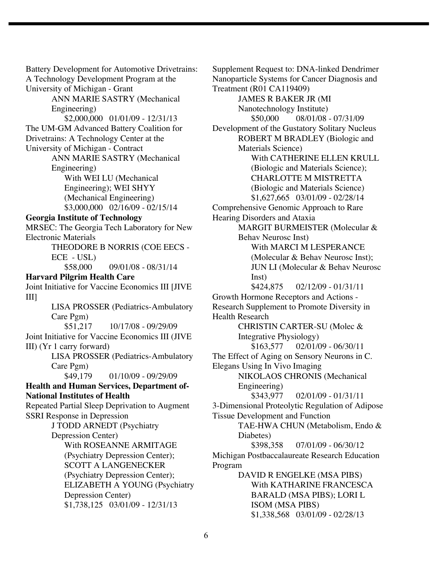Battery Development for Automotive Drivetrains: A Technology Development Program at the University of Michigan - Grant ANN MARIE SASTRY (Mechanical Engineering) \$2,000,000 01/01/09 - 12/31/13 The UM-GM Advanced Battery Coalition for Drivetrains: A Technology Center at the University of Michigan - Contract ANN MARIE SASTRY (Mechanical Engineering) With WEI LU (Mechanical Engineering); WEI SHYY (Mechanical Engineering) \$3,000,000 02/16/09 - 02/15/14 **Georgia Institute of Technology** MRSEC: The Georgia Tech Laboratory for New Electronic Materials THEODORE B NORRIS (COE EECS - ECE - USL) \$58,000 09/01/08 - 08/31/14 **Harvard Pilgrim Health Care** Joint Initiative for Vaccine Economics III [JIVE III] LISA PROSSER (Pediatrics-Ambulatory Care Pgm) \$51,217 10/17/08 - 09/29/09 Joint Initiative for Vaccine Economics III (JIVE III) (Yr 1 carry forward) LISA PROSSER (Pediatrics-Ambulatory Care Pgm)<br>\$49,179 01/10/09 - 09/29/09 **Health and Human Services, Department of-National Institutes of Health** Repeated Partial Sleep Deprivation to Augment SSRI Response in Depression J TODD ARNEDT (Psychiatry Depression Center) With ROSEANNE ARMITAGE (Psychiatry Depression Center); SCOTT A LANGENECKER (Psychiatry Depression Center); ELIZABETH A YOUNG (Psychiatry Depression Center) \$1,738,125 03/01/09 - 12/31/13

Supplement Request to: DNA-linked Dendrimer Nanoparticle Systems for Cancer Diagnosis and Treatment (R01 CA119409) JAMES R BAKER JR (MI Nanotechnology Institute) \$50,000 08/01/08 - 07/31/09 Development of the Gustatory Solitary Nucleus ROBERT M BRADLEY (Biologic and Materials Science) With CATHERINE ELLEN KRULL (Biologic and Materials Science); CHARLOTTE M MISTRETTA (Biologic and Materials Science) \$1,627,665 03/01/09 - 02/28/14 Comprehensive Genomic Approach to Rare Hearing Disorders and Ataxia MARGIT BURMEISTER (Molecular & Behav Neurosc Inst) With MARCI M LESPERANCE (Molecular & Behav Neurosc Inst); JUN LI (Molecular & Behav Neurosc Inst) \$424,875 02/12/09 - 01/31/11 Growth Hormone Receptors and Actions - Research Supplement to Promote Diversity in Health Research CHRISTIN CARTER-SU (Molec & Integrative Physiology) \$163,577 02/01/09 - 06/30/11 The Effect of Aging on Sensory Neurons in C. Elegans Using In Vivo Imaging NIKOLAOS CHRONIS (Mechanical Engineering) \$343,977 02/01/09 - 01/31/11 3-Dimensional Proteolytic Regulation of Adipose Tissue Development and Function TAE-HWA CHUN (Metabolism, Endo & Diabetes) \$398,358 07/01/09 - 06/30/12 Michigan Postbaccalaureate Research Education Program DAVID R ENGELKE (MSA PIBS) With KATHARINE FRANCESCA BARALD (MSA PIBS); LORI L ISOM (MSA PIBS) \$1,338,568 03/01/09 - 02/28/13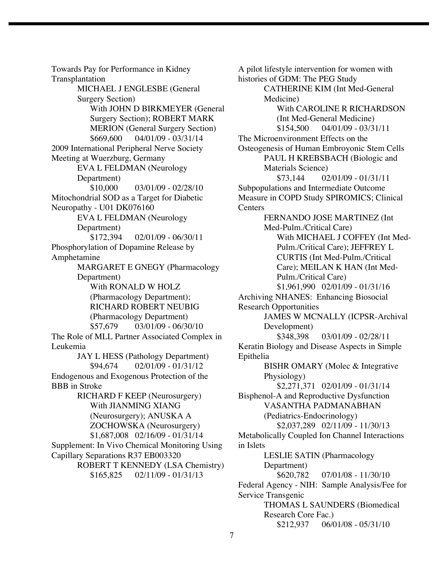Towards Pay for Performance in Kidney Transplantation MICHAEL J ENGLESBE (General Surgery Section) With JOHN D BIRKMEYER (General Surgery Section); ROBERT MARK MERION (General Surgery Section)  $$669,600$  04/01/09 - 03/31/14 2009 International Peripheral Nerve Society Meeting at Wuerzburg, Germany EVA L FELDMAN (Neurology Department)  $$10,000$  03/01/09 - 02/28/10 Mitochondrial SOD as a Target for Diabetic Neuropathy - U01 DK076160 EVA L FELDMAN (Neurology Department) \$172,394 02/01/09 - 06/30/11 Phosphorylation of Dopamine Release by Amphetamine MARGARET E GNEGY (Pharmacology Department) With RONALD W HOLZ (Pharmacology Department); RICHARD ROBERT NEUBIG (Pharmacology Department) \$57,679 03/01/09 - 06/30/10 The Role of MLL Partner Associated Complex in Leukemia JAY L HESS (Pathology Department)  $$94,674$  02/01/09 - 01/31/12 Endogenous and Exogenous Protection of the BBB in Stroke RICHARD F KEEP (Neurosurgery) With JIANMING XIANG (Neurosurgery); ANUSKA A ZOCHOWSKA (Neurosurgery) \$1,687,008 02/16/09 - 01/31/14 Supplement: In Vivo Chemical Monitoring Using Capillary Separations R37 EB003320 ROBERT T KENNEDY (LSA Chemistry) \$165,825 02/11/09 - 01/31/13

A pilot lifestyle intervention for women with histories of GDM: The PEG Study CATHERINE KIM (Int Med-General Medicine) With CAROLINE R RICHARDSON (Int Med-General Medicine)  $$154,500$  04/01/09 - 03/31/11 The Microenvironment Effects on the Osteogenesis of Human Embroyonic Stem Cells PAUL H KREBSBACH (Biologic and Materials Science)  $$73,144$  02/01/09 - 01/31/11 Subpopulations and Intermediate Outcome Measure in COPD Study SPIROMICS; Clinical **Centers** FERNANDO JOSE MARTINEZ (Int Med-Pulm./Critical Care) With MICHAEL J COFFEY (Int Med-Pulm./Critical Care); JEFFREY L CURTIS (Int Med-Pulm./Critical Care); MEILAN K HAN (Int Med-Pulm./Critical Care) \$1,961,990 02/01/09 - 01/31/16 Archiving NHANES: Enhancing Biosocial Research Opportunities JAMES W MCNALLY (ICPSR-Archival Development) \$348,398 03/01/09 - 02/28/11 Keratin Biology and Disease Aspects in Simple Epithelia BISHR OMARY (Molec & Integrative Physiology) \$2,271,371 02/01/09 - 01/31/14 Bisphenol-A and Reproductive Dysfunction VASANTHA PADMANABHAN (Pediatrics-Endocrinology) \$2,037,289 02/11/09 - 11/30/13 Metabolically Coupled Ion Channel Interactions in Islets LESLIE SATIN (Pharmacology Department) \$620,782 07/01/08 - 11/30/10 Federal Agency - NIH: Sample Analysis/Fee for Service Transgenic THOMAS L SAUNDERS (Biomedical Research Core Fac.) \$212,937 06/01/08 - 05/31/10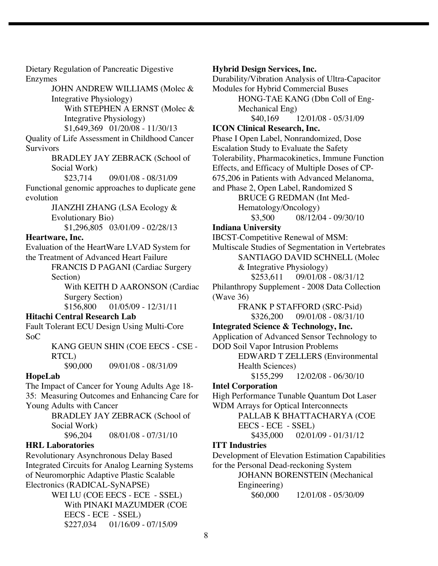Dietary Regulation of Pancreatic Digestive Enzymes

> JOHN ANDREW WILLIAMS (Molec & Integrative Physiology) With STEPHEN A ERNST (Molec &

Integrative Physiology)

\$1,649,369 01/20/08 - 11/30/13 Quality of Life Assessment in Childhood Cancer **Survivors** 

BRADLEY JAY ZEBRACK (School of Social Work)<br>\$23.714

09/01/08 - 08/31/09

Functional genomic approaches to duplicate gene evolution

> JIANZHI ZHANG (LSA Ecology & Evolutionary Bio) \$1,296,805 03/01/09 - 02/28/13

### **Heartware, Inc.**

Evaluation of the HeartWare LVAD System for the Treatment of Advanced Heart Failure

FRANCIS D PAGANI (Cardiac Surgery Section)

With KEITH D AARONSON (Cardiac Surgery Section)<br>\$156,800 01/0

01/05/09 - 12/31/11

## **Hitachi Central Research Lab**

Fault Tolerant ECU Design Using Multi-Core SoC

> KANG GEUN SHIN (COE EECS - CSE - RTCL)

\$90,000 09/01/08 - 08/31/09

## **HopeLab**

The Impact of Cancer for Young Adults Age 18- 35: Measuring Outcomes and Enhancing Care for Young Adults with Cancer

BRADLEY JAY ZEBRACK (School of Social Work)

\$96,204 08/01/08 - 07/31/10

## **HRL Laboratories**

Revolutionary Asynchronous Delay Based Integrated Circuits for Analog Learning Systems of Neuromorphic Adaptive Plastic Scalable Electronics (RADICAL-SyNAPSE)

WEI LU (COE EECS - ECE - SSEL) With PINAKI MAZUMDER (COE EECS - ECE - SSEL) \$227,034 01/16/09 - 07/15/09

### **Hybrid Design Services, Inc.**

Durability/Vibration Analysis of Ultra-Capacitor Modules for Hybrid Commercial Buses HONG-TAE KANG (Dbn Coll of Eng-Mechanical Eng) \$40,169 12/01/08 - 05/31/09

**ICON Clinical Research, Inc.**

Phase I Open Label, Nonrandomized, Dose Escalation Study to Evaluate the Safety Tolerability, Pharmacokinetics, Immune Function Effects, and Efficacy of Multiple Doses of CP-675,206 in Patients with Advanced Melanoma, and Phase 2, Open Label, Randomized S

BRUCE G REDMAN (Int Med-Hematology/Oncology)

\$3,500 08/12/04 - 09/30/10

## **Indiana University**

IBCST-Competitive Renewal of MSM:

Multiscale Studies of Segmentation in Vertebrates SANTIAGO DAVID SCHNELL (Molec & Integrative Physiology)

\$253,611 09/01/08 - 08/31/12 Philanthropy Supplement - 2008 Data Collection (Wave 36)

> FRANK P STAFFORD (SRC-Psid) \$326,200 09/01/08 - 08/31/10

**Integrated Science & Technology, Inc.**

Application of Advanced Sensor Technology to

DOD Soil Vapor Intrusion Problems EDWARD T ZELLERS (Environmental Health Sciences)

\$155,299 12/02/08 - 06/30/10

### **Intel Corporation**

High Performance Tunable Quantum Dot Laser WDM Arrays for Optical Interconnects

> PALLAB K BHATTACHARYA (COE EECS - ECE - SSEL)

\$435,000 02/01/09 - 01/31/12

## **ITT Industries**

Development of Elevation Estimation Capabilities for the Personal Dead-reckoning System

JOHANN BORENSTEIN (Mechanical Engineering)

\$60,000 12/01/08 - 05/30/09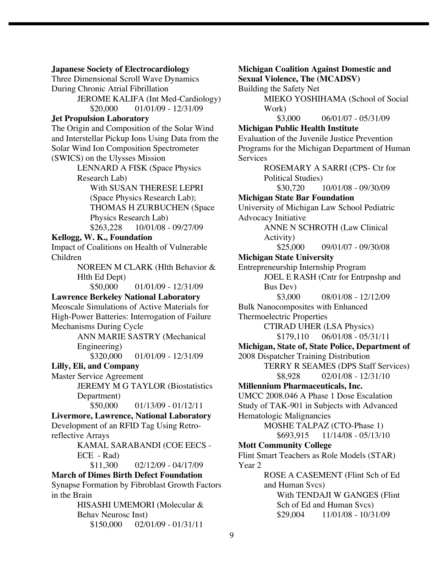#### **Japanese Society of Electrocardiology**

Three Dimensional Scroll Wave Dynamics During Chronic Atrial Fibrillation JEROME KALIFA (Int Med-Cardiology)

\$20,000 01/01/09 - 12/31/09

#### **Jet Propulsion Laboratory**

The Origin and Composition of the Solar Wind and Interstellar Pickup Ions Using Data from the Solar Wind Ion Composition Spectrometer (SWICS) on the Ulysses Mission

> LENNARD A FISK (Space Physics Research Lab)

With SUSAN THERESE LEPRI (Space Physics Research Lab); THOMAS H ZURBUCHEN (Space Physics Research Lab) \$263,228 10/01/08 - 09/27/09

## **Kellogg, W. K., Foundation**

Impact of Coalitions on Health of Vulnerable Children

> NOREEN M CLARK (Hlth Behavior & Hlth Ed Dept)

> > $$50,000$  01/01/09 - 12/31/09

## **Lawrence Berkeley National Laboratory**

Meoscale Simulations of Active Materials for High-Power Batteries: Interrogation of Failure Mechanisms During Cycle

> ANN MARIE SASTRY (Mechanical Engineering)

\$320,000 01/01/09 - 12/31/09

## **Lilly, Eli, and Company**

Master Service Agreement

JEREMY M G TAYLOR (Biostatistics Department)

 $$50,000$  01/13/09 - 01/12/11

**Livermore, Lawrence, National Laboratory** Development of an RFID Tag Using Retroreflective Arrays

KAMAL SARABANDI (COE EECS - ECE - Rad)

 $$11,300$  02/12/09 - 04/17/09

**March of Dimes Birth Defect Foundation** Synapse Formation by Fibroblast Growth Factors in the Brain

> HISASHI UMEMORI (Molecular & Behav Neurosc Inst)  $$150,000$  02/01/09 - 01/31/11

**Michigan Coalition Against Domestic and Sexual Violence, The (MCADSV)** Building the Safety Net MIEKO YOSHIHAMA (School of Social Work) \$3,000 06/01/07 - 05/31/09 **Michigan Public Health Institute** Evaluation of the Juvenile Justice Prevention Programs for the Michigan Department of Human **Services** ROSEMARY A SARRI (CPS- Ctr for Political Studies) \$30,720 10/01/08 - 09/30/09 **Michigan State Bar Foundation** University of Michigan Law School Pediatric Advocacy Initiative ANNE N SCHROTH (Law Clinical Activity) \$25,000 09/01/07 - 09/30/08 **Michigan State University** Entrepreneurship Internship Program JOEL E RASH (Cntr for Entrpnshp and Bus Dev) \$3,000 08/01/08 - 12/12/09 Bulk Nanocomposites with Enhanced Thermoelectric Properties CTIRAD UHER (LSA Physics)  $$179,110$  06/01/08 - 05/31/11 **Michigan, State of, State Police, Department of** 2008 Dispatcher Training Distribution TERRY R SEAMES (DPS Staff Services) \$8,928 02/01/08 - 12/31/10 **Millennium Pharmaceuticals, Inc.**

UMCC 2008.046 A Phase 1 Dose Escalation Study of TAK-901 in Subjects with Advanced Hematologic Malignancies

MOSHE TALPAZ (CTO-Phase 1)

\$693,915 11/14/08 - 05/13/10

## **Mott Community College**

Flint Smart Teachers as Role Models (STAR) Year 2

> ROSE A CASEMENT (Flint Sch of Ed and Human Svcs) With TENDAJI W GANGES (Flint Sch of Ed and Human Svcs)<br>\$29,004 11/01/08 - 10/3 \$29,004 11/01/08 - 10/31/09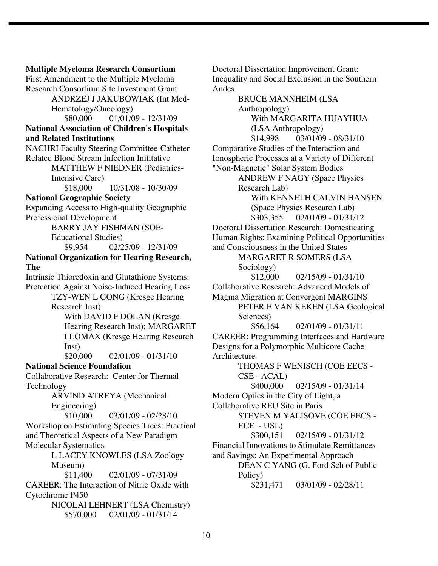**Multiple Myeloma Research Consortium** First Amendment to the Multiple Myeloma Research Consortium Site Investment Grant ANDRZEJ J JAKUBOWIAK (Int Med-Hematology/Oncology) \$80,000 01/01/09 - 12/31/09 **National Association of Children's Hospitals and Related Institutions** NACHRI Faculty Steering Committee-Catheter Related Blood Stream Infection Inititative MATTHEW F NIEDNER (Pediatrics-Intensive Care) \$18,000 10/31/08 - 10/30/09 **National Geographic Society** Expanding Access to High-quality Geographic Professional Development BARRY JAY FISHMAN (SOE-Educational Studies) \$9,954 02/25/09 - 12/31/09 **National Organization for Hearing Research, The** Intrinsic Thioredoxin and Glutathione Systems: Protection Against Noise-Induced Hearing Loss TZY-WEN L GONG (Kresge Hearing Research Inst) With DAVID F DOLAN (Kresge Hearing Research Inst); MARGARET I LOMAX (Kresge Hearing Research Inst)  $$20,000$  02/01/09 - 01/31/10 **National Science Foundation** Collaborative Research: Center for Thermal Technology ARVIND ATREYA (Mechanical Engineering)  $$10,000$  03/01/09 - 02/28/10 Workshop on Estimating Species Trees: Practical and Theoretical Aspects of a New Paradigm Molecular Systematics L LACEY KNOWLES (LSA Zoology Museum) \$11,400 02/01/09 - 07/31/09 CAREER: The Interaction of Nitric Oxide with Cytochrome P450 NICOLAI LEHNERT (LSA Chemistry) \$570,000 02/01/09 - 01/31/14

Doctoral Dissertation Improvement Grant: Inequality and Social Exclusion in the Southern Andes

BRUCE MANNHEIM (LSA Anthropology) With MARGARITA HUAYHUA (LSA Anthropology)  $$14,998$  03/01/09 - 08/31/10 Comparative Studies of the Interaction and Ionospheric Processes at a Variety of Different "Non-Magnetic" Solar System Bodies ANDREW F NAGY (Space Physics Research Lab) With KENNETH CALVIN HANSEN (Space Physics Research Lab) \$303,355 02/01/09 - 01/31/12 Doctoral Dissertation Research: Domesticating Human Rights: Examining Political Opportunities and Consciousness in the United States MARGARET R SOMERS (LSA Sociology)  $$12,000$  02/15/09 - 01/31/10 Collaborative Research: Advanced Models of Magma Migration at Convergent MARGINS PETER E VAN KEKEN (LSA Geological Sciences) \$56,164 02/01/09 - 01/31/11 CAREER: Programming Interfaces and Hardware Designs for a Polymorphic Multicore Cache Architecture THOMAS F WENISCH (COE EECS - CSE - ACAL) \$400,000 02/15/09 - 01/31/14 Modern Optics in the City of Light, a Collaborative REU Site in Paris STEVEN M YALISOVE (COE EECS - ECE - USL) \$300,151 02/15/09 - 01/31/12 Financial Innovations to Stimulate Remittances and Savings: An Experimental Approach DEAN C YANG (G. Ford Sch of Public Policy) \$231,471 03/01/09 - 02/28/11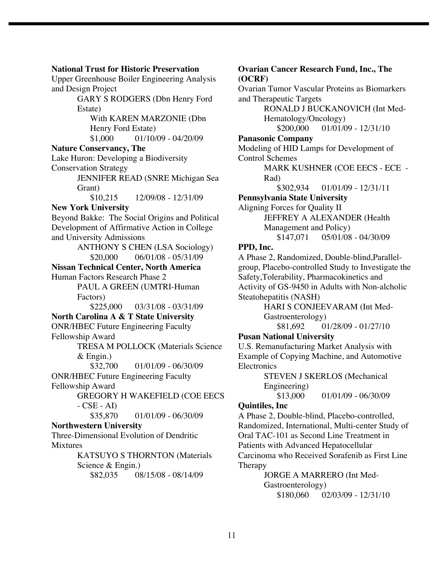#### **National Trust for Historic Preservation**

Upper Greenhouse Boiler Engineering Analysis and Design Project

> GARY S RODGERS (Dbn Henry Ford Estate)

With KAREN MARZONIE (Dbn Henry Ford Estate)  $$1,000$  01/10/09 - 04/20/09

#### **Nature Conservancy, The**

Lake Huron: Developing a Biodiversity Conservation Strategy JENNIFER READ (SNRE Michigan Sea

Grant)

 $$10,215$   $12/09/08 - 12/31/09$ 

## **New York University**

Beyond Bakke: The Social Origins and Political Development of Affirmative Action in College and University Admissions

> ANTHONY S CHEN (LSA Sociology)  $$20,000$  06/01/08 - 05/31/09

**Nissan Technical Center, North America** Human Factors Research Phase 2 PAUL A GREEN (UMTRI-Human Factors) \$225,000 03/31/08 - 03/31/09 **North Carolina A & T State University** ONR/HBEC Future Engineering Faculty

Fellowship Award TRESA M POLLOCK (Materials Science

& Engin.)

\$32,700 01/01/09 - 06/30/09

ONR/HBEC Future Engineering Faculty Fellowship Award

GREGORY H WAKEFIELD (COE EECS  $-CSE - AD$ 

#### \$35,870 01/01/09 - 06/30/09 **Northwestern University**

Three-Dimensional Evolution of Dendritic Mixtures

> KATSUYO S THORNTON (Materials Science & Engin.) \$82,035 08/15/08 - 08/14/09

**Ovarian Cancer Research Fund, Inc., The (OCRF)** Ovarian Tumor Vascular Proteins as Biomarkers

and Therapeutic Targets RONALD J BUCKANOVICH (Int Med-Hematology/Oncology)

\$200,000 01/01/09 - 12/31/10

### **Panasonic Company**

Modeling of HID Lamps for Development of Control Schemes

> MARK KUSHNER (COE EECS - ECE - Rad)

> > \$302,934 01/01/09 - 12/31/11

## **Pennsylvania State University**

Aligning Forces for Quality II JEFFREY A ALEXANDER (Health Management and Policy) \$147,071 05/01/08 - 04/30/09

### **PPD, Inc.**

A Phase 2, Randomized, Double-blind,Parallelgroup, Placebo-controlled Study to Investigate the Safety,Tolerability, Pharmacokinetics and Activity of GS-9450 in Adults with Non-alcholic Steatohepatitis (NASH)

> HARI S CONJEEVARAM (Int Med-Gastroenterology) \$81,692 01/28/09 - 01/27/10

### **Pusan National University**

U.S. Remanufacturing Market Analysis with Example of Copying Machine, and Automotive **Electronics** 

> STEVEN J SKERLOS (Mechanical Engineering)

 $$13,000$  01/01/09 - 06/30/09

### **Quintiles, Inc**

A Phase 2, Double-blind, Placebo-controlled, Randomized, International, Multi-center Study of Oral TAC-101 as Second Line Treatment in Patients with Advanced Hepatocellular Carcinoma who Received Sorafenib as First Line Therapy

JORGE A MARRERO (Int Med-Gastroenterology) \$180,060 02/03/09 - 12/31/10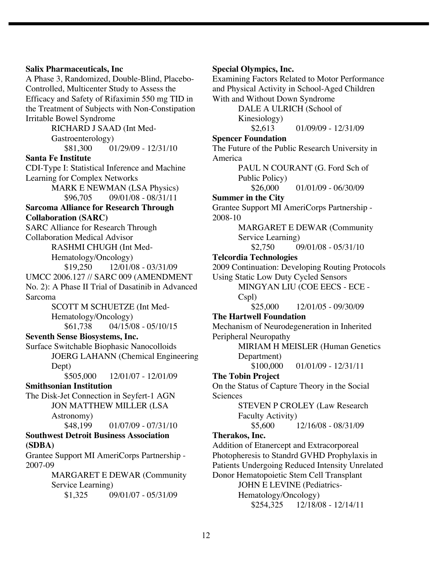#### **Salix Pharmaceuticals, Inc**

A Phase 3, Randomized, Double-Blind, Placebo-Controlled, Multicenter Study to Assess the Efficacy and Safety of Rifaximin 550 mg TID in the Treatment of Subjects with Non-Constipation Irritable Bowel Syndrome

RICHARD J SAAD (Int Med-Gastroenterology) \$81,300 01/29/09 - 12/31/10

#### **Santa Fe Institute**

CDI-Type I: Statistical Inference and Machine Learning for Complex Networks

> MARK E NEWMAN (LSA Physics)  $$96,705$  09/01/08 - 08/31/11

#### **Sarcoma Alliance for Research Through Collaboration (SARC)**

SARC Alliance for Research Through Collaboration Medical Advisor

> RASHMI CHUGH (Int Med-Hematology/Oncology)

\$19,250 12/01/08 - 03/31/09 UMCC 2006.127 // SARC 009 (AMENDMENT No. 2): A Phase II Trial of Dasatinib in Advanced Sarcoma

> SCOTT M SCHUETZE (Int Med-Hematology/Oncology) \$61,738 04/15/08 - 05/10/15

#### **Seventh Sense Biosystems, Inc.**

Surface Switchable Biophasic Nanocolloids JOERG LAHANN (Chemical Engineering Dept)

\$505,000 12/01/07 - 12/01/09

## **Smithsonian Institution**

The Disk-Jet Connection in Seyfert-1 AGN JON MATTHEW MILLER (LSA Astronomy)

 $$48,199$  01/07/09 - 07/31/10

#### **Southwest Detroit Business Association (SDBA)**

Grantee Support MI AmeriCorps Partnership - 2007-09

> MARGARET E DEWAR (Community Service Learning) \$1,325 09/01/07 - 05/31/09

#### **Special Olympics, Inc.**

Examining Factors Related to Motor Performance and Physical Activity in School-Aged Children With and Without Down Syndrome

DALE A ULRICH (School of Kinesiology)

 $$2,613$  01/09/09 - 12/31/09

## **Spencer Foundation**

The Future of the Public Research University in America

> PAUL N COURANT (G. Ford Sch of Public Policy)

> > $$26,000$  01/01/09 - 06/30/09

## **Summer in the City**

Grantee Support MI AmeriCorps Partnership - 2008-10

> MARGARET E DEWAR (Community Service Learning)

\$2,750 09/01/08 - 05/31/10

## **Telcordia Technologies**

2009 Continuation: Developing Routing Protocols

Using Static Low Duty Cycled Sensors

MINGYAN LIU (COE EECS - ECE -

Cspl)

\$25,000 12/01/05 - 09/30/09

### **The Hartwell Foundation**

Mechanism of Neurodegeneration in Inherited Peripheral Neuropathy

> MIRIAM H MEISLER (Human Genetics Department)

\$100,000 01/01/09 - 12/31/11

### **The Tobin Project**

On the Status of Capture Theory in the Social Sciences

> STEVEN P CROLEY (Law Research Faculty Activity)

 $$5,600$  12/16/08 - 08/31/09

#### **Therakos, Inc.**

Addition of Etanercept and Extracorporeal Photopheresis to Standrd GVHD Prophylaxis in Patients Undergoing Reduced Intensity Unrelated Donor Hematopoietic Stem Cell Transplant JOHN E LEVINE (Pediatrics-Hematology/Oncology) \$254,325 12/18/08 - 12/14/11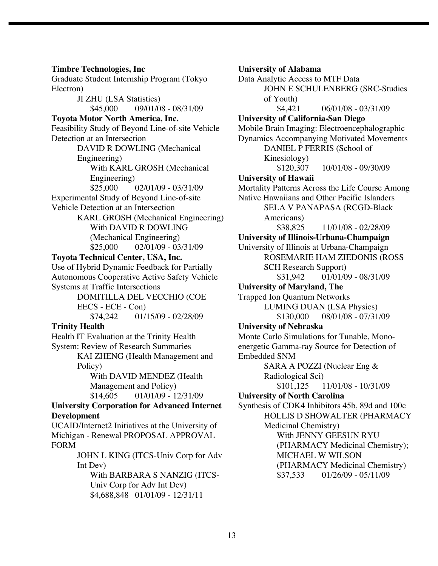**Timbre Technologies, Inc** Graduate Student Internship Program (Tokyo Electron) JI ZHU (LSA Statistics) \$45,000 09/01/08 - 08/31/09 **Toyota Motor North America, Inc.** Feasibility Study of Beyond Line-of-site Vehicle Detection at an Intersection DAVID R DOWLING (Mechanical Engineering) With KARL GROSH (Mechanical Engineering)  $$25,000$  02/01/09 - 03/31/09 Experimental Study of Beyond Line-of-site Vehicle Detection at an Intersection KARL GROSH (Mechanical Engineering) With DAVID R DOWLING (Mechanical Engineering)  $$25,000$  02/01/09 - 03/31/09 **Toyota Technical Center, USA, Inc.** Use of Hybrid Dynamic Feedback for Partially Autonomous Cooperative Active Safety Vehicle Systems at Traffic Intersections DOMITILLA DEL VECCHIO (COE EECS - ECE - Con) \$74,242 01/15/09 - 02/28/09 **Trinity Health** Health IT Evaluation at the Trinity Health System: Review of Research Summaries KAI ZHENG (Health Management and Policy) With DAVID MENDEZ (Health Management and Policy) \$14,605 01/01/09 - 12/31/09 **University Corporation for Advanced Internet Development** UCAID/Internet2 Initiatives at the University of Michigan - Renewal PROPOSAL APPROVAL FORM JOHN L KING (ITCS-Univ Corp for Adv Int Dev) With BARBARA S NANZIG (ITCS-Univ Corp for Adv Int Dev) \$4,688,848 01/01/09 - 12/31/11

**University of Alabama** Data Analytic Access to MTF Data JOHN E SCHULENBERG (SRC-Studies of Youth)  $$4,421$  06/01/08 - 03/31/09 **University of California-San Diego** Mobile Brain Imaging: Electroencephalographic Dynamics Accompanying Motivated Movements DANIEL P FERRIS (School of Kinesiology) \$120,307 10/01/08 - 09/30/09 **University of Hawaii** Mortality Patterns Across the Life Course Among Native Hawaiians and Other Pacific Islanders SELA V PANAPASA (RCGD-Black Americans) \$38,825 11/01/08 - 02/28/09 **University of Illinois-Urbana-Champaign** University of Illinois at Urbana-Champaign ROSEMARIE HAM ZIEDONIS (ROSS SCH Research Support) \$31,942 01/01/09 - 08/31/09 **University of Maryland, The** Trapped Ion Quantum Networks LUMING DUAN (LSA Physics) \$130,000 08/01/08 - 07/31/09 **University of Nebraska** Monte Carlo Simulations for Tunable, Monoenergetic Gamma-ray Source for Detection of Embedded SNM SARA A POZZI (Nuclear Eng & Radiological Sci) \$101,125 11/01/08 - 10/31/09 **University of North Carolina** Synthesis of CDK4 Inhibitors 45b, 89d and 100c HOLLIS D SHOWALTER (PHARMACY Medicinal Chemistry) With JENNY GEESUN RYU (PHARMACY Medicinal Chemistry); MICHAEL W WILSON (PHARMACY Medicinal Chemistry) \$37,533 01/26/09 - 05/11/09